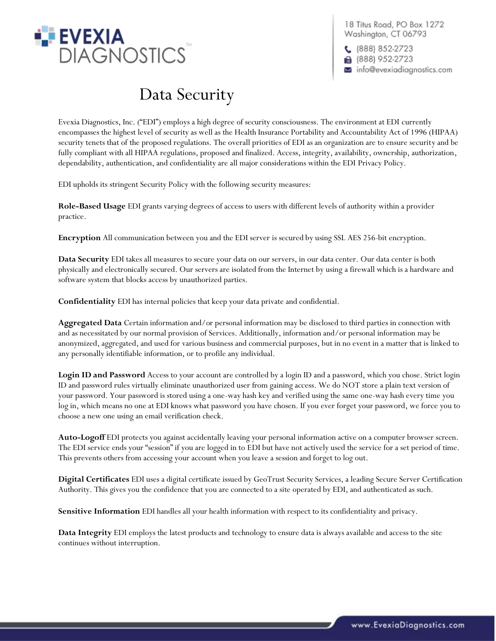

18 Titus Road, PO Box 1272 Washington, CT 06793

 $(888) 852-2723$ **■** (888) 952-2723 info@evexiadiagnostics.com

## Data Security

Evexia Diagnostics, Inc. ("EDI") employs a high degree of security consciousness. The environment at EDI currently encompasses the highest level of security as well as the Health Insurance Portability and Accountability Act of 1996 (HIPAA) security tenets that of the proposed regulations. The overall priorities of EDI as an organization are to ensure security and be fully compliant with all HIPAA regulations, proposed and finalized. Access, integrity, availability, ownership, authorization, dependability, authentication, and confidentiality are all major considerations within the EDI Privacy Policy.

EDI upholds its stringent Security Policy with the following security measures:

**Role-Based Usage** EDI grants varying degrees of access to users with different levels of authority within a provider practice.

**Encryption** All communication between you and the EDI server is secured by using SSL AES 256-bit encryption.

**Data Security** EDI takes all measures to secure your data on our servers, in our data center. Our data center is both physically and electronically secured. Our servers are isolated from the Internet by using a firewall which is a hardware and software system that blocks access by unauthorized parties.

**Confidentiality** EDI has internal policies that keep your data private and confidential.

**Aggregated Data** Certain information and/or personal information may be disclosed to third parties in connection with and as necessitated by our normal provision of Services. Additionally, information and/or personal information may be anonymized, aggregated, and used for various business and commercial purposes, but in no event in a matter that is linked to any personally identifiable information, or to profile any individual.

**Login ID and Password** Access to your account are controlled by a login ID and a password, which you chose. Strict login ID and password rules virtually eliminate unauthorized user from gaining access. We do NOT store a plain text version of your password. Your password is stored using a one-way hash key and verified using the same one-way hash every time you log in, which means no one at EDI knows what password you have chosen. If you ever forget your password, we force you to choose a new one using an email verification check.

**Auto-Logoff** EDI protects you against accidentally leaving your personal information active on a computer browser screen. The EDI service ends your "session" if you are logged in to EDI but have not actively used the service for a set period of time. This prevents others from accessing your account when you leave a session and forget to log out.

**Digital Certificates** EDI uses a digital certificate issued by GeoTrust Security Services, a leading Secure Server Certification Authority. This gives you the confidence that you are connected to a site operated by EDI, and authenticated as such.

**Sensitive Information** EDI handles all your health information with respect to its confidentiality and privacy.

**Data Integrity** EDI employs the latest products and technology to ensure data is always available and access to the site continues without interruption.